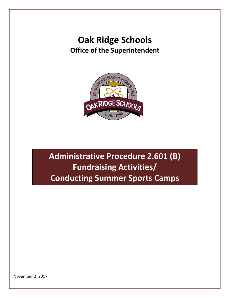# **Oak Ridge Schools Office of the Superintendent**



**Administrative Procedure 2.601 (B) Fundraising Activities/ Conducting Summer Sports Camps**

November 2, 2017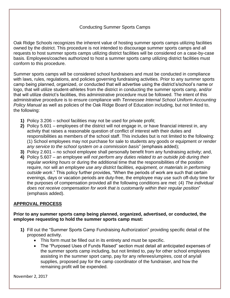## Conducting Summer Sports Camps

Oak Ridge Schools recognizes the inherent value of hosting summer sports camps utilizing facilities owned by the district. This procedure is not intended to discourage summer sports camps and all requests to host summer sports camps utilizing district facilities will be considered on a case-by-case basis. Employees/coaches authorized to host a summer sports camp utilizing district facilities must conform to this procedure.

Summer sports camps will be considered school fundraisers and must be conducted in compliance with laws, rules, regulations, and policies governing fundraising activities. Prior to any summer sports camp being planned, organized, or conducted that will advertise using the district's/school's name or logo, that will utilize student-athletes from the district in conducting the summer sports camp, and/or that will utilize district's facilities, this administrative procedure must be followed. The intent of this administrative procedure is to ensure compliance with *Tennessee Internal School Uniform Accounting Policy Manual* as well as policies of the Oak Ridge Board of Education including, but not limited to, the following:

- **1)** Policy 3.206 school facilities may not be used for private profit;
- **2)** Policy 5.601 employees of the district will not engage in, or have financial interest in, any activity that raises a reasonable question of conflict of interest with their duties and responsibilities as members of the school staff. This includes but is not limited to the following: (1) School employees may not purchase for sale to students any goods or equipment *or render any service to the school system on a commission basis*" (emphasis added);
- **3)** Policy 2.601 no school employee shall personally benefit from any fundraising activity; and,
- **4)** Policy 5.607 an employee *will not perform any duties related to an outside job during their regular working hours* or during the additional time that the responsibilities of the position require, nor will *an employee use any district facilities, equipment, or materials in performing outside work*." This policy further provides, "When the periods of work are such that certain evenings, days or vacation periods are duty-free, the employee may use such off-duty time for the purposes of compensation provided all the following conditions are met: (4) *The individual does not receive compensation for work that is customarily within their regular position*" (emphasis added).

#### **APPROVAL PROCESS**

#### **Prior to any summer sports camp being planned, organized, advertised, or conducted, the employee requesting to hold the summer sports camp must:**

- **1)** Fill out the "Summer Sports Camp Fundraising Authorization" providing specific detail of the proposed activity.
	- This form must be filled out in its entirety and must be specific.
	- The "Purposed Uses of Funds Raised" section must detail all anticipated expenses of the summer sports camp including, but not limited to, pay for other school employees assisting in the summer sport camp, pay for any referees/umpires, cost of any/all supplies, proposed pay for the camp coordinator of the fundraiser, and how the remaining profit will be expended.

November 2, 2017